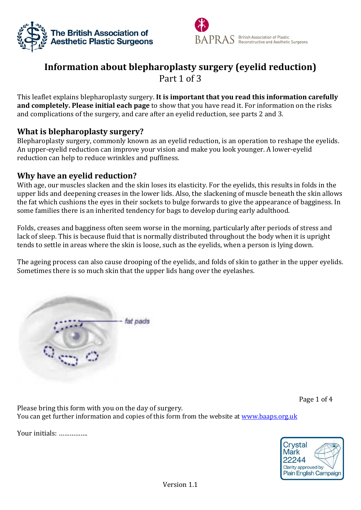



# **Information about blepharoplasty surgery (eyelid reduction)** Part 1 of 3

This leaflet explains blepharoplasty surgery. **It is important that you read this information carefully and completely. Please initial each page** to show that you have read it. For information on the risks and complications of the surgery, and care after an eyelid reduction, see parts 2 and 3.

## **What is blepharoplasty surgery?**

Blepharoplasty surgery, commonly known as an eyelid reduction, is an operation to reshape the eyelids. An upper-eyelid reduction can improve your vision and make you look younger. A lower-eyelid reduction can help to reduce wrinkles and puffiness.

## **Why have an eyelid reduction?**

With age, our muscles slacken and the skin loses its elasticity. For the eyelids, this results in folds in the upper lids and deepening creases in the lower lids. Also, the slackening of muscle beneath the skin allows the fat which cushions the eyes in their sockets to bulge forwards to give the appearance of bagginess. In some families there is an inherited tendency for bags to develop during early adulthood.

Folds, creases and bagginess often seem worse in the morning, particularly after periods of stress and lack of sleep. This is because fluid that is normally distributed throughout the body when it is upright tends to settle in areas where the skin is loose, such as the eyelids, when a person is lying down.

The ageing process can also cause drooping of the eyelids, and folds of skin to gather in the upper eyelids. Sometimes there is so much skin that the upper lids hang over the eyelashes.



Page 1 of 4

Please bring this form with you on the day of surgery. You can get further information and copies of this form from the website at [www.baaps.org.uk](http://www.baaps.org.uk/)

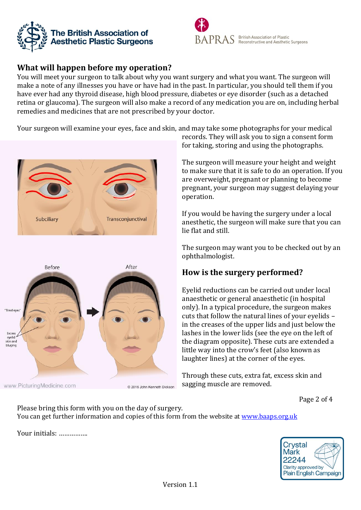



# **What will happen before my operation?**

You will meet your surgeon to talk about why you want surgery and what you want. The surgeon will make a note of any illnesses you have or have had in the past. In particular, you should tell them if you have ever had any thyroid disease, high blood pressure, diabetes or eye disorder (such as a detached retina or glaucoma). The surgeon will also make a record of any medication you are on, including herbal remedies and medicines that are not prescribed by your doctor.

Your surgeon will examine your eyes, face and skin, and may take some photographs for your medical





www.PicturingMedicine.com

© 2016 John Kenneth Dickson

records. They will ask you to sign a consent form for taking, storing and using the photographs.

The surgeon will measure your height and weight to make sure that it is safe to do an operation. If you are overweight, pregnant or planning to become pregnant, your surgeon may suggest delaying your operation.

If you would be having the surgery under a local anesthetic, the surgeon will make sure that you can lie flat and still.

The surgeon may want you to be checked out by an ophthalmologist.

# **How is the surgery performed?**

Eyelid reductions can be carried out under local anaesthetic or general anaesthetic (in hospital only). In a typical procedure, the surgeon makes cuts that follow the natural lines of your eyelids – in the creases of the upper lids and just below the lashes in the lower lids (see the eye on the left of the diagram opposite). These cuts are extended a little way into the crow's feet (also known as laughter lines) at the corner of the eyes.

Through these cuts, extra fat, excess skin and sagging muscle are removed.

Page 2 of 4

Please bring this form with you on the day of surgery. You can get further information and copies of this form from the website at [www.baaps.org.uk](http://www.baaps.org.uk/)

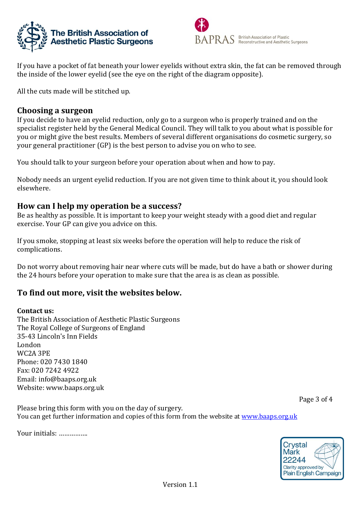



If you have a pocket of fat beneath your lower eyelids without extra skin, the fat can be removed through the inside of the lower eyelid (see the eye on the right of the diagram opposite).

All the cuts made will be stitched up.

#### **Choosing a surgeon**

If you decide to have an eyelid reduction, only go to a surgeon who is properly trained and on the specialist register held by the General Medical Council. They will talk to you about what is possible for you or might give the best results. Members of several different organisations do cosmetic surgery, so your general practitioner (GP) is the best person to advise you on who to see.

You should talk to your surgeon before your operation about when and how to pay.

Nobody needs an urgent eyelid reduction. If you are not given time to think about it, you should look elsewhere.

## **How can I help my operation be a success?**

Be as healthy as possible. It is important to keep your weight steady with a good diet and regular exercise. Your GP can give you advice on this.

If you smoke, stopping at least six weeks before the operation will help to reduce the risk of complications.

Do not worry about removing hair near where cuts will be made, but do have a bath or shower during the 24 hours before your operation to make sure that the area is as clean as possible.

# **To find out more, visit the websites below.**

#### **Contact us:**

The British Association of Aesthetic Plastic Surgeons The Royal College of Surgeons of England 35-43 Lincoln's Inn Fields London WC2A 3PE Phone: 020 7430 1840 Fax: 020 7242 4922 Email: [info@baaps.org.uk](mailto:info@baaps.org.uk) Website: www.baaps.org.uk

Page 3 of 4

Please bring this form with you on the day of surgery. You can get further information and copies of this form from the website at [www.baaps.org.uk](http://www.baaps.org.uk/)